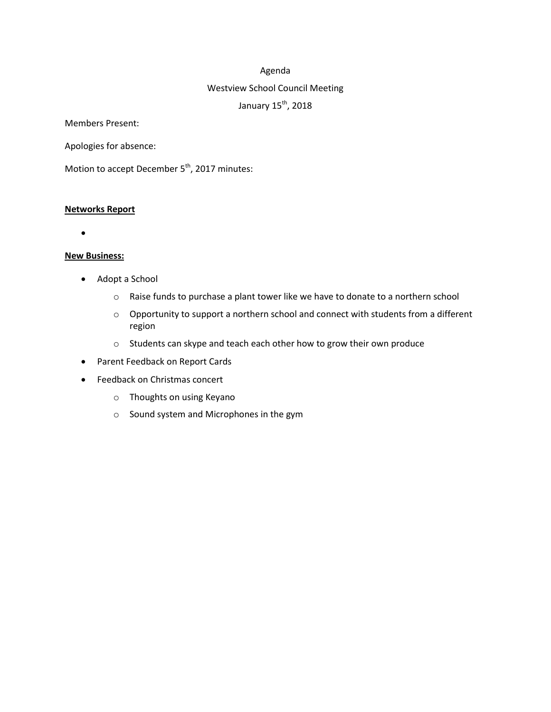#### Agenda

### Westview School Council Meeting

January 15<sup>th</sup>, 2018

Members Present:

Apologies for absence:

Motion to accept December 5<sup>th</sup>, 2017 minutes:

#### **Networks Report**

 $\bullet$ 

#### **New Business:**

- Adopt a School
	- o Raise funds to purchase a plant tower like we have to donate to a northern school
	- o Opportunity to support a northern school and connect with students from a different region
	- o Students can skype and teach each other how to grow their own produce
- Parent Feedback on Report Cards
- Feedback on Christmas concert
	- o Thoughts on using Keyano
	- o Sound system and Microphones in the gym